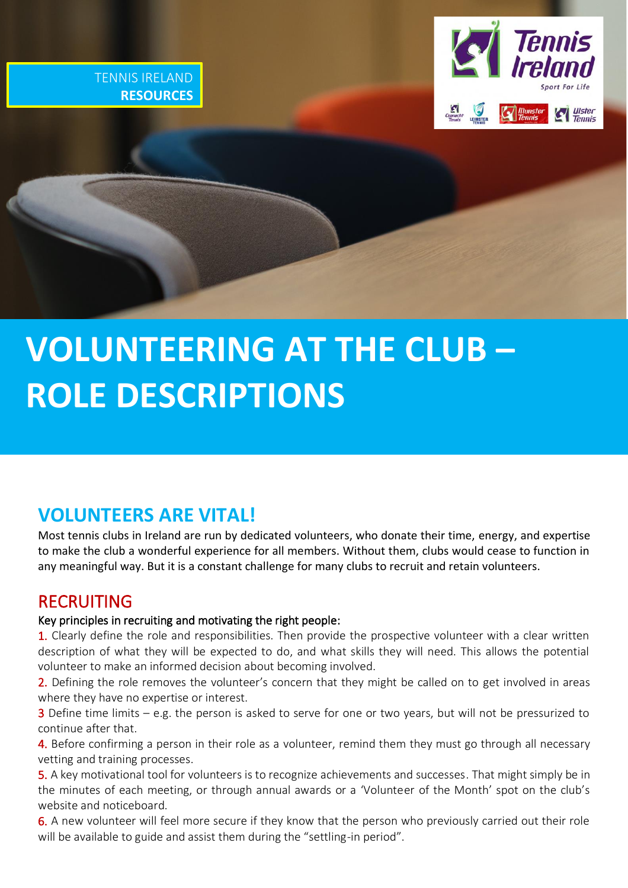



# j ֧֚֕֓֕  **VOLUNTEERING AT THE CLUB – ROLE DESCRIPTIONS**

# **VOLUNTEERS ARE VITAL!**

Most tennis clubs in Ireland are run by dedicated volunteers, who donate their time, energy, and expertise to make the club a wonderful experience for all members. Without them, clubs would cease to function in any meaningful way. But it is a constant challenge for many clubs to recruit and retain volunteers.

# RECRUITING

# Key principles in recruiting and motivating the right people:

1. Clearly define the role and responsibilities. Then provide the prospective volunteer with a clear written description of what they will be expected to do, and what skills they will need. This allows the potential volunteer to make an informed decision about becoming involved.

2. Defining the role removes the volunteer's concern that they might be called on to get involved in areas where they have no expertise or interest.

3 Define time limits – e.g. the person is asked to serve for one or two years, but will not be pressurized to continue after that.

4. Before confirming a person in their role as a volunteer, remind them they must go through all necessary vetting and training processes.

5. A key motivational tool for volunteers is to recognize achievements and successes. That might simply be in the minutes of each meeting, or through annual awards or a 'Volunteer of the Month' spot on the club's website and noticeboard.

6. A new volunteer will feel more secure if they know that the person who previously carried out their role will be available to guide and assist them during the "settling-in period".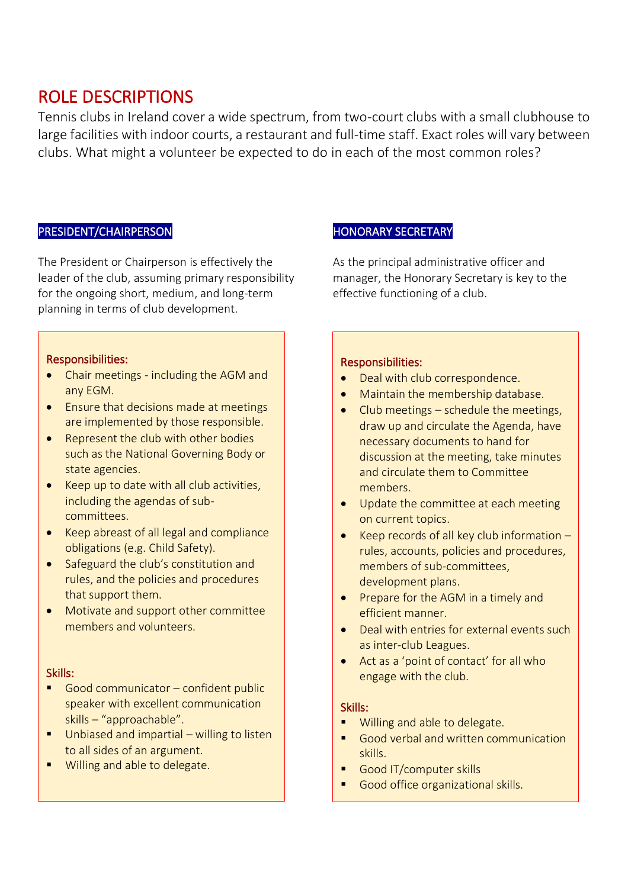# ROLE DESCRIPTIONS

Tennis clubs in Ireland cover a wide spectrum, from two-court clubs with a small clubhouse to large facilities with indoor courts, a restaurant and full-time staff. Exact roles will vary between clubs. What might a volunteer be expected to do in each of the most common roles?

# PRESIDENT/CHAIRPERSON

The President or Chairperson is effectively the leader of the club, assuming primary responsibility for the ongoing short, medium, and long-term planning in terms of club development.

# Responsibilities:

- Chair meetings including the AGM and any EGM.
- Ensure that decisions made at meetings are implemented by those responsible.
- Represent the club with other bodies such as the National Governing Body or state agencies.
- Keep up to date with all club activities, including the agendas of subcommittees.
- Keep abreast of all legal and compliance obligations (e.g. Child Safety).
- Safeguard the club's constitution and rules, and the policies and procedures that support them.
- Motivate and support other committee members and volunteers.

#### Skills:

- Good communicator confident public speaker with excellent communication skills – "approachable".
- Unbiased and impartial willing to listen to all sides of an argument.
- Willing and able to delegate.

# HONORARY SECRETARY

As the principal administrative officer and manager, the Honorary Secretary is key to the effective functioning of a club.

## Responsibilities:

- Deal with club correspondence.
- Maintain the membership database.
- Club meetings schedule the meetings, draw up and circulate the Agenda, have necessary documents to hand for discussion at the meeting, take minutes and circulate them to Committee members.
- Update the committee at each meeting on current topics.
- Keep records of all key club information rules, accounts, policies and procedures, members of sub-committees, development plans.
- Prepare for the AGM in a timely and efficient manner.
- Deal with entries for external events such as inter-club Leagues.
- Act as a 'point of contact' for all who engage with the club.

- Willing and able to delegate.
- Good verbal and written communication skills.
- Good IT/computer skills
- Good office organizational skills.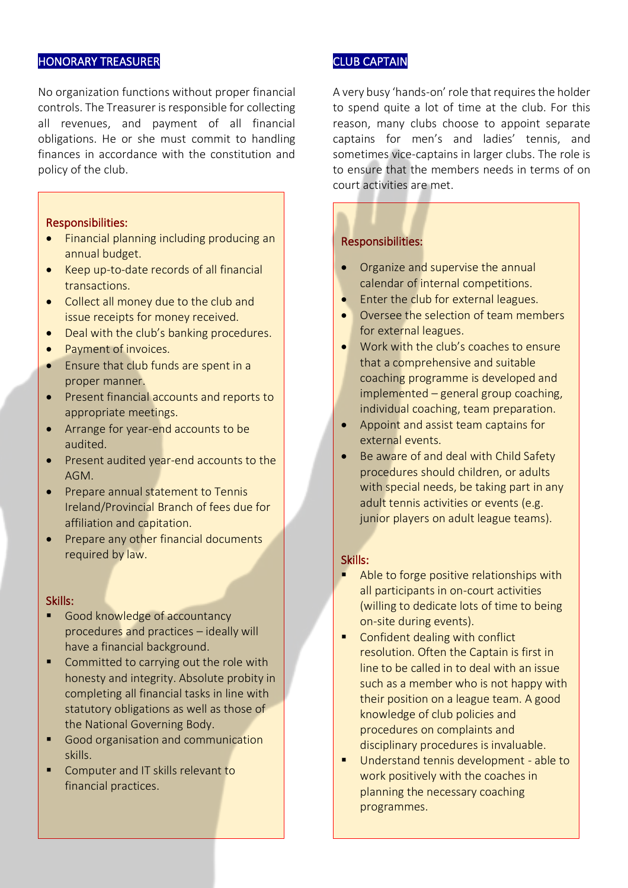### HONORARY TREASURER

No organization functions without proper financial controls. The Treasurer is responsible for collecting all revenues, and payment of all financial obligations. He or she must commit to handling finances in accordance with the constitution and policy of the club.

#### Responsibilities:

- Financial planning including producing an annual budget.
- Keep up-to-date records of all financial transactions.
- Collect all money due to the club and issue receipts for money received.
- Deal with the club's banking procedures.
- Payment of invoices.
- Ensure that club funds are spent in a proper manner.
- Present financial accounts and reports to appropriate meetings.
- Arrange for year-end accounts to be audited.
- Present audited year-end accounts to the AGM.
- Prepare annual statement to Tennis Ireland/Provincial Branch of fees due for affiliation and capitation.
- Prepare any other financial documents required by law.

#### Skills:

- Good knowledge of accountancy procedures and practices – ideally will have a financial background.
- Committed to carrying out the role with honesty and integrity. Absolute probity in completing all financial tasks in line with statutory obligations as well as those of the National Governing Body.
- Good organisation and communication skills.
- Computer and IT skills relevant to financial practices.

# CLUB CAPTAIN

A very busy 'hands-on'role that requiresthe holder to spend quite a lot of time at the club. For this reason, many clubs choose to appoint separate captains for men's and ladies' tennis, and sometimes vice-captains in larger clubs. The role is to ensure that the members needs in terms of on court activities are met.

#### Responsibilities:

I I I I I I I I I I I I I I I I I I I I I I I I I I I I I I I I I I I I I I I L Ì

- Organize and supervise the annual calendar of internal competitions.
- Enter the club for external leagues.
- Oversee the selection of team members for external leagues.
- Work with the club's coaches to ensure that a comprehensive and suitable coaching programme is developed and implemented – general group coaching, individual coaching, team preparation.
- Appoint and assist team captains for external events.
- Be aware of and deal with Child Safety procedures should children, or adults with special needs, be taking part in any adult tennis activities or events (e.g. junior players on adult league teams).

- Able to forge positive relationships with all participants in on-court activities (willing to dedicate lots of time to being on-site during events).
- Confident dealing with conflict resolution. Often the Captain is first in line to be called in to deal with an issue such as a member who is not happy with their position on a league team. A good knowledge of club policies and procedures on complaints and disciplinary procedures is invaluable.
- Understand tennis development able to work positively with the coaches in planning the necessary coaching programmes.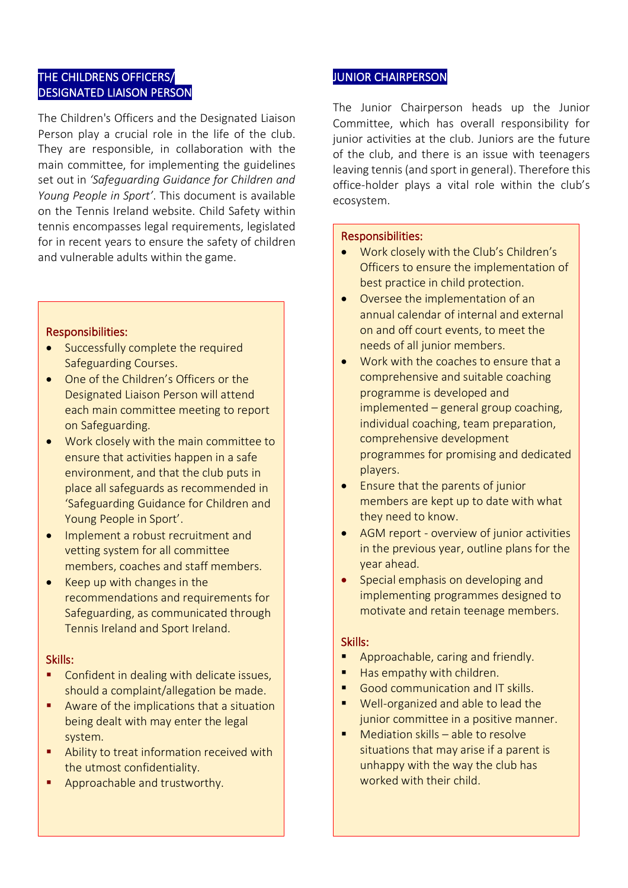# THE CHILDRENS OFFICERS/ DESIGNATED LIAISON PERSON

The Children's Officers and the Designated Liaison Person play a crucial role in the life of the club. They are responsible, in collaboration with the main committee, for implementing the guidelines set out in *'Safeguarding Guidance for Children and Young People in Sport'*. This document is available on the Tennis Ireland website. Child Safety within tennis encompasses legal requirements, legislated for in recent years to ensure the safety of children and vulnerable adults within the game.

## Responsibilities:

I I I I I I I I I I I I I I I I I I I I I I I I I I I I I I I I  $\overline{\phantom{a}}$ 

- Successfully complete the required Safeguarding Courses.
- One of the Children's Officers or the Designated Liaison Person will attend each main committee meeting to report on Safeguarding.
- Work closely with the main committee to ensure that activities happen in a safe environment, and that the club puts in place all safeguards as recommended in 'Safeguarding Guidance for Children and Young People in Sport'.
- Implement a robust recruitment and vetting system for all committee members, coaches and staff members.
- Keep up with changes in the recommendations and requirements for Safeguarding, as communicated through Tennis Ireland and Sport Ireland.

# Skills:

- Confident in dealing with delicate issues, should a complaint/allegation be made.
- Aware of the implications that a situation being dealt with may enter the legal system.
- Ability to treat information received with the utmost confidentiality.
- **E** Approachable and trustworthy.

# JUNIOR CHAIRPERSON

The Junior Chairperson heads up the Junior Committee, which has overall responsibility for junior activities at the club. Juniors are the future of the club, and there is an issue with teenagers leaving tennis (and sport in general). Therefore this office-holder plays a vital role within the club's ecosystem.

#### Responsibilities:

I I I I I I I I I I I I I I I I I I I I I I I I I I I I I I I I I I I I I I I Ļ

- Work closely with the Club's Children's Officers to ensure the implementation of best practice in child protection.
- Oversee the implementation of an annual calendar of internal and external on and off court events, to meet the needs of all junior members.
- Work with the coaches to ensure that a comprehensive and suitable coaching programme is developed and implemented – general group coaching, individual coaching, team preparation, comprehensive development programmes for promising and dedicated players.
- Ensure that the parents of junior members are kept up to date with what they need to know.
- AGM report overview of junior activities in the previous year, outline plans for the year ahead.
- Special emphasis on developing and implementing programmes designed to motivate and retain teenage members.

- Approachable, caring and friendly.
- Has empathy with children.
- Good communication and IT skills.
- Well-organized and able to lead the junior committee in a positive manner.
- Mediation skills  $-$  able to resolve situations that may arise if a parent is unhappy with the way the club has worked with their child.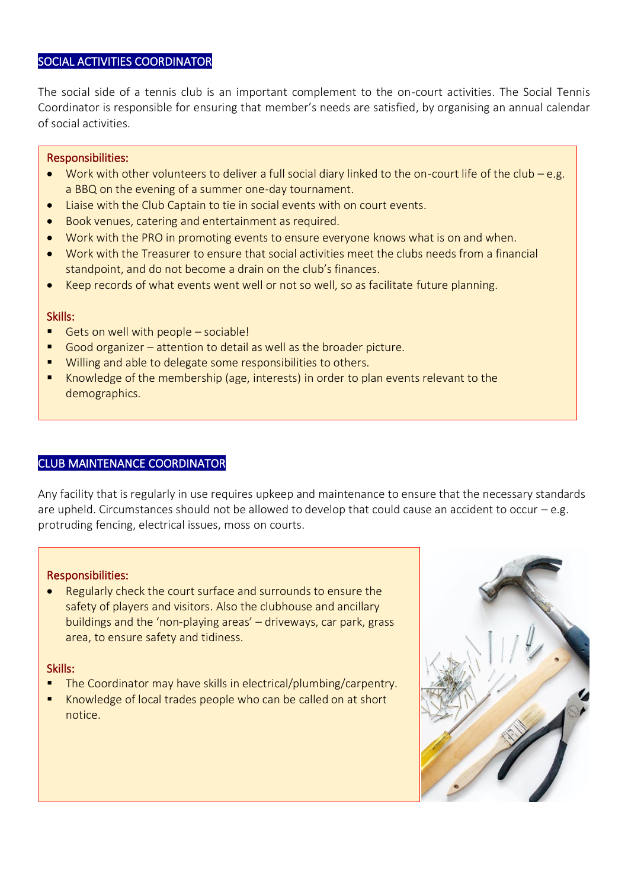## SOCIAL ACTIVITIES COORDINATOR

The social side of a tennis club is an important complement to the on-court activities. The Social Tennis Coordinator is responsible for ensuring that member's needs are satisfied, by organising an annual calendar of social activities.

#### Responsibilities:

I

- Work with other volunteers to deliver a full social diary linked to the on-court life of the club e.g. a BBQ on the evening of a summer one-day tournament.
- Liaise with the Club Captain to tie in social events with on court events.
- Book venues, catering and entertainment as required.
- Work with the PRO in promoting events to ensure everyone knows what is on and when.
- Work with the Treasurer to ensure that social activities meet the clubs needs from a financial standpoint, and do not become a drain on the club's finances.
- Keep records of what events went well or not so well, so as facilitate future planning.

#### Skills:

- Gets on well with people  $-$  sociable!
- Good organizer attention to detail as well as the broader picture.
- Willing and able to delegate some responsibilities to others.
- Knowledge of the membership (age, interests) in order to plan events relevant to the demographics.

#### CLUB MAINTENANCE COORDINATOR

Any facility that is regularly in use requires upkeep and maintenance to ensure that the necessary standards are upheld. Circumstances should not be allowed to develop that could cause an accident to occur  $-e.g.$ protruding fencing, electrical issues, moss on courts.

#### Responsibilities:

• Regularly check the court surface and surrounds to ensure the safety of players and visitors. Also the clubhouse and ancillary buildings and the 'non-playing areas' – driveways, car park, grass area, to ensure safety and tidiness.

#### Skills:

l,

- The Coordinator may have skills in electrical/plumbing/carpentry.
- Knowledge of local trades people who can be called on at short notice.

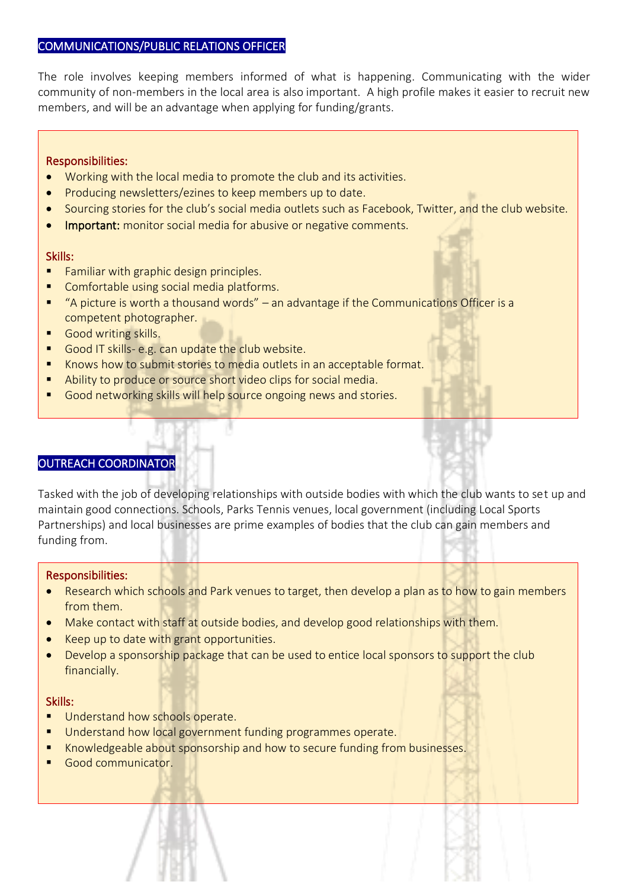# COMMUNICATIONS/PUBLIC RELATIONS OFFICER

The role involves keeping members informed of what is happening. Communicating with the wider community of non-members in the local area is also important. A high profile makes it easier to recruit new members, and will be an advantage when applying for funding/grants.

#### Responsibilities:

- Working with the local media to promote the club and its activities.
- Producing newsletters/ezines to keep members up to date.
- Sourcing stories for the club's social media outlets such as Facebook, Twitter, and the club website.
- Important: monitor social media for abusive or negative comments.

#### Skills:

I

- Familiar with graphic design principles.
- Comfortable using social media platforms.
- "A picture is worth a thousand words" an advantage if the Communications Officer is a competent photographer.
- Good writing skills.
- Good IT skills- e.g. can update the club website.
- Knows how to submit stories to media outlets in an acceptable format.
- Ability to produce or source short video clips for social media.
- Good networking skills will help source ongoing news and stories.

# OUTREACH COORDINATOR

Tasked with the job of developing relationships with outside bodies with which the club wants to set up and maintain good connections. Schools, Parks Tennis venues, local government (including Local Sports Partnerships) and local businesses are prime examples of bodies that the club can gain members and funding from.

#### Responsibilities:

- Research which schools and Park venues to target, then develop a plan as to how to gain members from them.
- Make contact with staff at outside bodies, and develop good relationships with them.
- Keep up to date with grant opportunities.
- Develop a sponsorship package that can be used to entice local sponsors to support the club financially.

- Understand how schools operate.
- Understand how local government funding programmes operate.
- Knowledgeable about sponsorship and how to secure funding from businesses.
- Good communicator.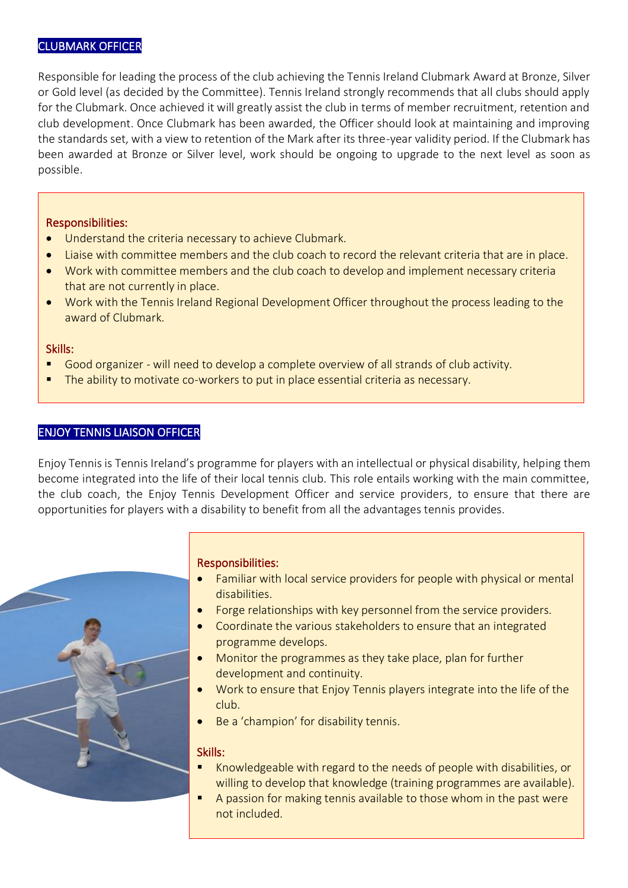# CLUBMARK OFFICER

Responsible for leading the process of the club achieving the Tennis Ireland Clubmark Award at Bronze, Silver or Gold level (as decided by the Committee). Tennis Ireland strongly recommends that all clubs should apply for the Clubmark. Once achieved it will greatly assist the club in terms of member recruitment, retention and club development. Once Clubmark has been awarded, the Officer should look at maintaining and improving the standards set, with a view to retention of the Mark after its three-year validity period. If the Clubmark has been awarded at Bronze or Silver level, work should be ongoing to upgrade to the next level as soon as possible.

## Responsibilities:

- Understand the criteria necessary to achieve Clubmark.
- Liaise with committee members and the club coach to record the relevant criteria that are in place.
- Work with committee members and the club coach to develop and implement necessary criteria that are not currently in place.
- Work with the Tennis Ireland Regional Development Officer throughout the process leading to the award of Clubmark.

## Skills:

I

- Good organizer will need to develop a complete overview of all strands of club activity.
- The ability to motivate co-workers to put in place essential criteria as necessary.

# ENJOY TENNIS LIAISON OFFICER

Enjoy Tennis is Tennis Ireland's programme for players with an intellectual or physical disability, helping them become integrated into the life of their local tennis club. This role entails working with the main committee, the club coach, the Enjoy Tennis Development Officer and service providers, to ensure that there are opportunities for players with a disability to benefit from all the advantages tennis provides.



# Responsibilities:

- Familiar with local service providers for people with physical or mental disabilities.
- Forge relationships with key personnel from the service providers.
- Coordinate the various stakeholders to ensure that an integrated programme develops.
- Monitor the programmes as they take place, plan for further development and continuity.
- Work to ensure that Enjoy Tennis players integrate into the life of the club.
- Be a 'champion' for disability tennis.

- Knowledgeable with regard to the needs of people with disabilities, or willing to develop that knowledge (training programmes are available).
- A passion for making tennis available to those whom in the past were not included.